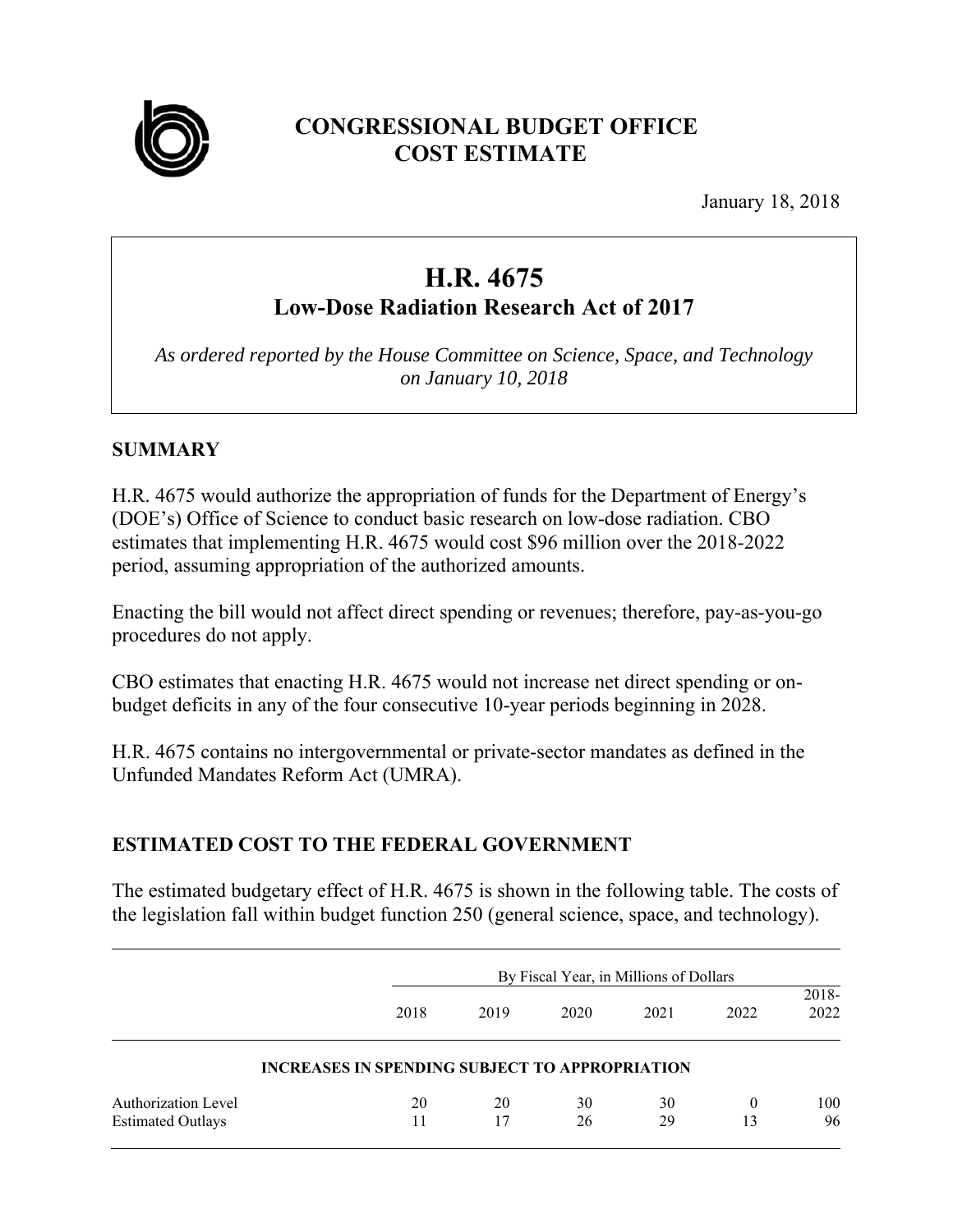

# **CONGRESSIONAL BUDGET OFFICE COST ESTIMATE**

January 18, 2018

# **H.R. 4675**

**Low-Dose Radiation Research Act of 2017** 

*As ordered reported by the House Committee on Science, Space, and Technology on January 10, 2018* 

# **SUMMARY**

H.R. 4675 would authorize the appropriation of funds for the Department of Energy's (DOE's) Office of Science to conduct basic research on low-dose radiation. CBO estimates that implementing H.R. 4675 would cost \$96 million over the 2018-2022 period, assuming appropriation of the authorized amounts.

Enacting the bill would not affect direct spending or revenues; therefore, pay-as-you-go procedures do not apply.

CBO estimates that enacting H.R. 4675 would not increase net direct spending or onbudget deficits in any of the four consecutive 10-year periods beginning in 2028.

H.R. 4675 contains no intergovernmental or private-sector mandates as defined in the Unfunded Mandates Reform Act (UMRA).

# **ESTIMATED COST TO THE FEDERAL GOVERNMENT**

The estimated budgetary effect of H.R. 4675 is shown in the following table. The costs of the legislation fall within budget function 250 (general science, space, and technology).

|                                                        |                                                       | By Fiscal Year, in Millions of Dollars |          |          |                |               |
|--------------------------------------------------------|-------------------------------------------------------|----------------------------------------|----------|----------|----------------|---------------|
|                                                        | 2018                                                  | 2019                                   | 2020     | 2021     | 2022           | 2018-<br>2022 |
|                                                        | <b>INCREASES IN SPENDING SUBJECT TO APPROPRIATION</b> |                                        |          |          |                |               |
| <b>Authorization Level</b><br><b>Estimated Outlays</b> | 20                                                    | 20<br>17                               | 30<br>26 | 30<br>29 | $\theta$<br>13 | 100<br>96     |